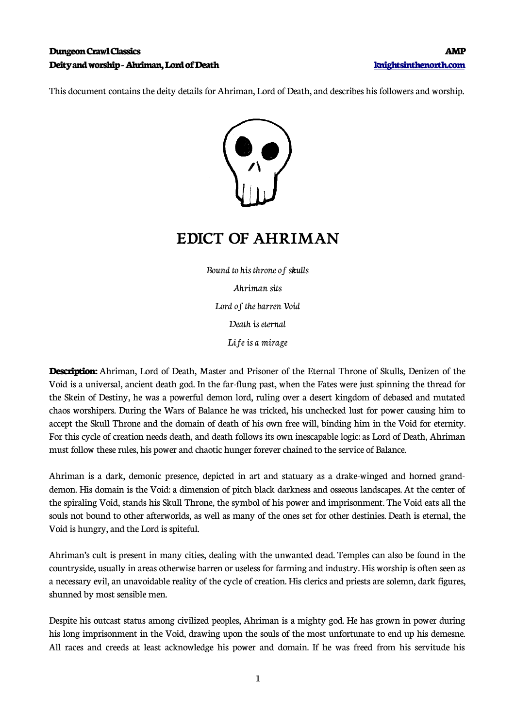### **Dungeon Crawl Classics AMP Deity and worship - Ahriman, Lord of Death [knightsinthenorth.com](http://knightsinthenorth.com/)**

This document contains the deity details for Ahriman, Lord of Death, and describes his followers and worship.



# **EDICT OF AHRIMAN**

Bound to his throne of skulls Ahriman sits Lord of the barren Void Death is eternal Life is a mirage

**Description:** Ahriman, Lord of Death, Master and Prisoner of the Eternal Throne of Skulls, Denizen of the Void is a universal, ancient death god. In the far-flung past, when the Fates were just spinning the thread for the Skein of Destiny, he was a powerful demon lord, ruling over a desert kingdom of debased and mutated chaos worshipers. During the Wars of Balance he was tricked, his unchecked lust for power causing him to accept the Skull Throne and the domain of death of his own free will, binding him in the Void for eternity. For this cycle of creation needs death, and death follows its own inescapable logic: as Lord of Death, Ahriman must follow these rules, his power and chaotic hunger forever chained to the service of Balance.

Ahriman is a dark, demonic presence, depicted in art and statuary as a drake-winged and horned granddemon. His domain is the Void: a dimension of pitch black darkness and osseous landscapes. At the center of the spiraling Void, stands his Skull Throne, the symbol of his power and imprisonment. The Void eats all the souls not bound to other afterworlds, as well as many of the ones set for other destinies. Death is eternal, the Void is hungry, and the Lord is spiteful.

Ahriman's cult is present in many cities, dealing with the unwanted dead. Temples can also be found in the countryside, usually in areas otherwise barren or useless for farming and industry. His worship is often seen as a necessary evil, an unavoidable reality of the cycle of creation. His clerics and priests are solemn, dark figures, shunned by most sensible men.

Despite his outcast status among civilized peoples, Ahriman is a mighty god. He has grown in power during his long imprisonment in the Void, drawing upon the souls of the most unfortunate to end up his demesne. All races and creeds at least acknowledge his power and domain. If he was freed from his servitude his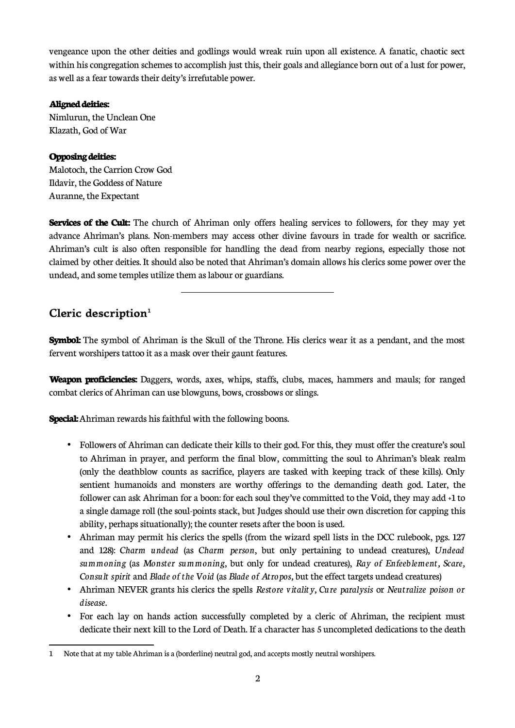vengeance upon the other deities and godlings would wreak ruin upon all existence. A fanatic, chaotic sect within his congregation schemes to accomplish just this, their goals and allegiance born out of a lust for power, as well as a fear towards their deity's irrefutable power.

#### **Aligned deities:**

Nimlurun, the Unclean One Klazath, God of War

## **Opposing deities:**

Malotoch, the Carrion Crow God Ildavir, the Goddess of Nature Auranne, the Expectant

**Services of the Cult:** The church of Ahriman only offers healing services to followers, for they may yet advance Ahriman's plans. Non-members may access other divine favours in trade for wealth or sacrifice. Ahriman's cult is also often responsible for handling the dead from nearby regions, especially those not claimed by other deities. It should also be noted that Ahriman's domain allows his clerics some power over the undead, and some temples utilize them as labour or guardians.

# **Cleric description[1](#page-1-0)**

**Symbol:** The symbol of Ahriman is the Skull of the Throne. His clerics wear it as a pendant, and the most fervent worshipers tattoo it as a mask over their gaunt features.

**Weapon proficiencies:** Daggers, words, axes, whips, staffs, clubs, maces, hammers and mauls; for ranged combat clerics of Ahriman can use blowguns, bows, crossbows or slings.

**Special:** Ahriman rewards his faithful with the following boons.

 $\overline{a}$ 

- Followers of Ahriman can dedicate their kills to their god. For this, they must offer the creature's soul to Ahriman in prayer, and perform the final blow, committing the soul to Ahriman's bleak realm (only the deathblow counts as sacrifice, players are tasked with keeping track of these kills). Only sentient humanoids and monsters are worthy offerings to the demanding death god. Later, the follower can ask Ahriman for a boon: for each soul they've committed to the Void, they may add +1 to a single damage roll (the soul-points stack, but Judges should use their own discretion for capping this ability, perhaps situationally); the counter resets after the boon is used.
- Ahriman may permit his clerics the spells (from the wizard spell lists in the DCC rulebook, pgs. 127 and 128): *Charm undead* (as *Charm person*, but only pertaining to undead creatures), *Undead summoning* (as *Monster summoning,* but only for undead creatures), *Ray of Enfeeblement, Scare, Consult spirit* and *Blade of the Void* (as *Blade of Atropos,* but the effect targets undead creatures)
- Ahriman NEVER grants his clerics the spells *Restore vitality, Cure paralysis* or *Neutralize poison or disease.*
- For each lay on hands action successfully completed by a cleric of Ahriman, the recipient must dedicate their next kill to the Lord of Death. If a character has 5 uncompleted dedications to the death

<span id="page-1-0"></span><sup>1</sup> Note that at my table Ahriman is a (borderline) neutral god, and accepts mostly neutral worshipers.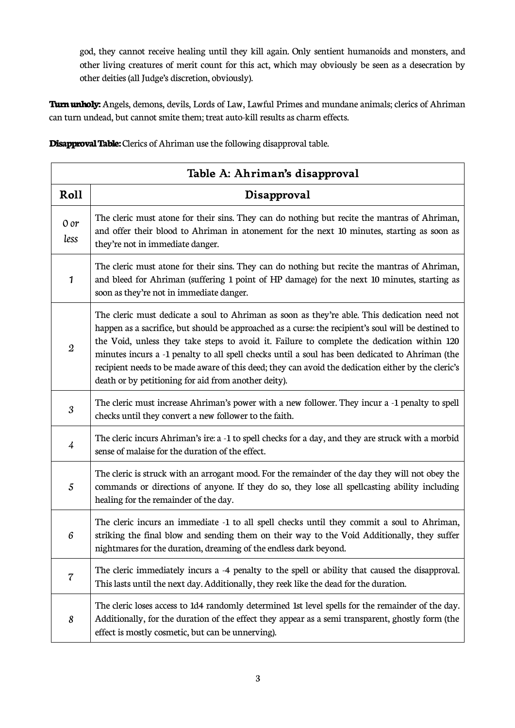god, they cannot receive healing until they kill again. Only sentient humanoids and monsters, and other living creatures of merit count for this act, which may obviously be seen as a desecration by other deities (all Judge's discretion, obviously).

**Turn unholy:** Angels, demons, devils, Lords of Law, Lawful Primes and mundane animals; clerics of Ahriman can turn undead, but cannot smite them; treat auto-kill results as charm effects.

| Table A: Ahriman's disapproval |                                                                                                                                                                                                                                                                                                                                                                                                                                                                                                                                                                       |  |
|--------------------------------|-----------------------------------------------------------------------------------------------------------------------------------------------------------------------------------------------------------------------------------------------------------------------------------------------------------------------------------------------------------------------------------------------------------------------------------------------------------------------------------------------------------------------------------------------------------------------|--|
| Roll                           | Disapproval                                                                                                                                                                                                                                                                                                                                                                                                                                                                                                                                                           |  |
| 0 or<br>less                   | The cleric must atone for their sins. They can do nothing but recite the mantras of Ahriman,<br>and offer their blood to Ahriman in atonement for the next 10 minutes, starting as soon as<br>they're not in immediate danger.                                                                                                                                                                                                                                                                                                                                        |  |
| $\mathbf{1}$                   | The cleric must atone for their sins. They can do nothing but recite the mantras of Ahriman,<br>and bleed for Ahriman (suffering 1 point of HP damage) for the next 10 minutes, starting as<br>soon as they're not in immediate danger.                                                                                                                                                                                                                                                                                                                               |  |
| $\mathfrak{2}$                 | The cleric must dedicate a soul to Ahriman as soon as they're able. This dedication need not<br>happen as a sacrifice, but should be approached as a curse: the recipient's soul will be destined to<br>the Void, unless they take steps to avoid it. Failure to complete the dedication within 120<br>minutes incurs a -1 penalty to all spell checks until a soul has been dedicated to Ahriman (the<br>recipient needs to be made aware of this deed; they can avoid the dedication either by the cleric's<br>death or by petitioning for aid from another deity). |  |
| 3                              | The cleric must increase Ahriman's power with a new follower. They incur a -1 penalty to spell<br>checks until they convert a new follower to the faith.                                                                                                                                                                                                                                                                                                                                                                                                              |  |
| $\overline{4}$                 | The cleric incurs Ahriman's ire: a -1 to spell checks for a day, and they are struck with a morbid<br>sense of malaise for the duration of the effect.                                                                                                                                                                                                                                                                                                                                                                                                                |  |
| 5                              | The cleric is struck with an arrogant mood. For the remainder of the day they will not obey the<br>commands or directions of anyone. If they do so, they lose all spellcasting ability including<br>healing for the remainder of the day.                                                                                                                                                                                                                                                                                                                             |  |
| 6                              | The cleric incurs an immediate -1 to all spell checks until they commit a soul to Ahriman,<br>striking the final blow and sending them on their way to the Void Additionally, they suffer<br>nightmares for the duration, dreaming of the endless dark beyond.                                                                                                                                                                                                                                                                                                        |  |
| 7                              | The cleric immediately incurs a -4 penalty to the spell or ability that caused the disapproval.<br>This lasts until the next day. Additionally, they reek like the dead for the duration.                                                                                                                                                                                                                                                                                                                                                                             |  |
| 8                              | The cleric loses access to 1d4 randomly determined 1st level spells for the remainder of the day.<br>Additionally, for the duration of the effect they appear as a semi transparent, ghostly form (the<br>effect is mostly cosmetic, but can be unnerving).                                                                                                                                                                                                                                                                                                           |  |

**Disapproval Table:** Clerics of Ahriman use the following disapproval table.